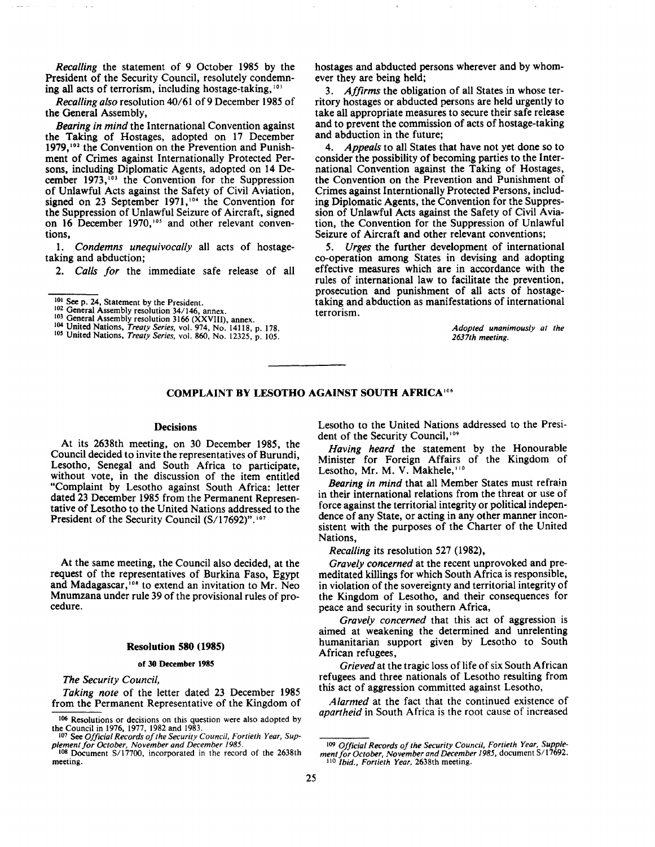*Recalling* the statement of 9 October 1985 by the President of the Security Council, resolutely condemning all acts of terrorism, including hostage-taking, 101

*Recalling also* resolution 40/61 of9 December 1985 of the General Assembly,

*Bearing in mind* the International Convention against the Taking of Hostages, adopted on 17 December 1979,<sup>102</sup> the Convention on the Prevention and Punishment of Crimes against Internationally Protected Persons, including Diplomatic Agents, adopted on 14 December 1973,<sup>103</sup> the Convention for the Suppression of Unlawful Acts against the Safety of Civil Aviation, signed on 23 September 1971,<sup>104</sup> the Convention for the Suppression of Unlawful Seizure of Aircraft, signed on 16 December 1970,<sup>105</sup> and other relevant conventions,

1. *Condemns unequivocally* all acts of hostagetaking and abduction;

2. *Calls for* the immediate safe release of all

- 
- 
- <sup>101</sup> See p. 24, Statement by the President.<br><sup>102</sup> General Assembly resolution 34/146, annex.<br><sup>103</sup> General Assembly resolution 3166 (XXVIII), annex.<br><sup>104</sup> United Nations, *Treaty Series*, vol. 974, No. 14118, p. 178.<br><sup>105</sup>

hostages and abducted persons wherever and by whomever they are being held;

3. *Affirms* the obligation of all States in whose territory hostages or abducted persons are held urgently to take all appropriate measures to secure their safe release and to prevent the commission of acts of hostage-taking and abduction in the future;

4. *Appeals* to all States that have not yet done so to consider the possibility of becoming parties to the International Convention against the Taking of Hostages, the Convention on the Prevention and Punishment of Crimes against Interntionally Protected Persons, including Diplomatic Agents, the Convention for the Suppression of Unlawful Acts against the Safety of Civil Aviation, the Convention for the Suppression of Unlawful Seizure of Aircraft and other relevant conventions;

5. *Urges* the further development of international co-operation among States in devising and adopting effective measures which are in accordance with the rules of international law to facilitate the prevention, prosecution and punishment of all acts of hostagetaking and abduction as manifestations of international terrorism.

> *Adopted unanimously at the 2637th meeting.*

# **COMPLAINT BY LESOTHO AGAINST SOUTH AFRICA<sup>10</sup> •**

### **Decisions**

At its 2638th meeting, on 30 December 1985, the Council decided to invite the representatives of Burundi, Lesotho, Senegal and South Africa to participate, without vote, in the discussion of the item entitled "Complaint by Lesotho against South Africa: letter dated 23 December 1985 from the Permanent Representative of Lesotho to the United Nations addressed to the President of the Security Council (S/17692)".<sup>107</sup>

At the same meeting, the Council also decided, at the request of the representatives of Burkina Faso, Egypt and Madagascar,  $108$  to extend an invitation to Mr. Neo Mnumzana under rule 39 of the provisional rules of procedure.

#### **Resolution 580 (1985)**

#### **of 30 December 1985**

*The Security Council,* 

*Taking note* of the letter dated 23 December 1985 from the Permanent Representative of the Kingdom of Lesotho to the United Nations addressed to the President of the Security Council, 109

*Having heard* the statement by the Honourable Minister for Foreign Affairs of the Kingdom of Lesotho, Mr. M. V. Makhele, 110

*Bearing in mind* that all Member States must refrain in their international relations from the threat or use of force against the territorial integrity or political independence of any State, or acting in any other manner inconsistent with the purposes of the Charter of the United Nations,

*Recalling* its resolution 527 (1982),

*Gravely concerned* at the recent unprovoked and premeditated killings for which South Africa is responsible, in violation of the sovereignty and territorial integrity of the Kingdom of Lesotho, and their consequences for peace and security in southern Africa,

*Gravely concerned* that this act of aggression is aimed at weakening the determined and unrelenting humanitarian support given by Lesotho to South African refugees,

*Grieved* at the tragic loss of life of six South African refugees and three nationals of Lesotho resulting from this act of aggression committed against Lesotho,

*Alarmed* at the fact that the continued existence of *apartheid* in South Africa is the root cause of increased

<sup>106</sup> Resolutions or decisions on this question were also adopted by

the Council in 1976, 1977, 1982 and 1983.<br><sup>107</sup> See *Official Records of the Security Council, Fortieth Year, Sup-*

*plement for October, November and December 1985.* 108 Document S/17700, incorporated in the record of the 2638th meeting.

<sup>109</sup> *Official Records of the Security Council, Fortieth Year, Supplement for October, November and December* J *985,* document *SI* 17692. 110 *Ibid., Fortieth Year,* 2638th meeting.